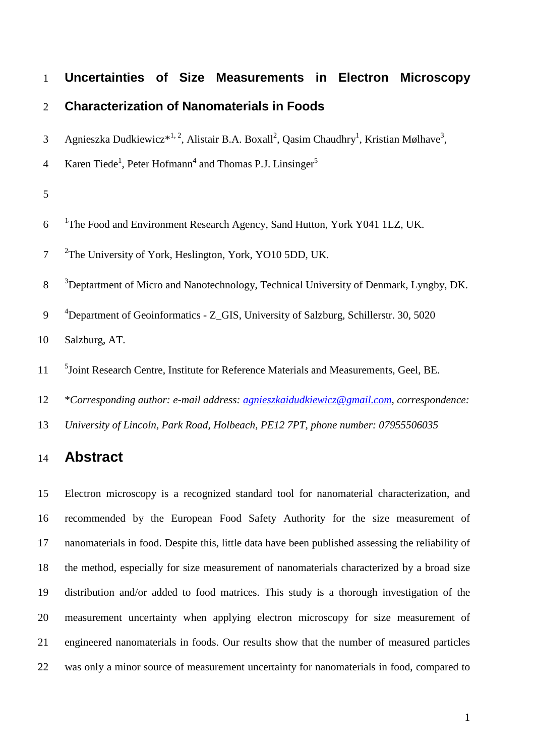# **Uncertainties of Size Measurements in Electron Microscopy**

#### **Characterization of Nanomaterials in Foods**

- 3 Agnieszka Dudkiewicz\*<sup>1, 2</sup>, Alistair B.A. Boxall<sup>2</sup>, Qasim Chaudhry<sup>1</sup>, Kristian Mølhave<sup>3</sup>,
- 4 Karen Tiede<sup>1</sup>, Peter Hofmann<sup>4</sup> and Thomas P.J. Linsinger<sup>5</sup>
- 
- <sup>1</sup> The Food and Environment Research Agency, Sand Hutton, York Y041 1LZ, UK.
- <sup>2</sup> The University of York, Heslington, York, YO10 5DD, UK.
- <sup>3</sup> Beptartment of Micro and Nanotechnology, Technical University of Denmark, Lyngby, DK.
- <sup>4</sup> Department of Geoinformatics Z\_GIS, University of Salzburg, Schillerstr. 30, 5020

Salzburg, AT.

- <sup>5</sup> 10<sup>5</sup> 5 101 Joint Research Centre, Institute for Reference Materials and Measurements, Geel, BE.
- \**Corresponding author: e-mail address: [agnieszkaidudkiewicz@gmail.com,](mailto:agnieszkaidudkiewicz@gmail.com) correspondence:*
- *University of Lincoln, Park Road, Holbeach, PE12 7PT, phone number: 07955506035*

# **Abstract**

 Electron microscopy is a recognized standard tool for nanomaterial characterization, and recommended by the European Food Safety Authority for the size measurement of nanomaterials in food. Despite this, little data have been published assessing the reliability of the method, especially for size measurement of nanomaterials characterized by a broad size distribution and/or added to food matrices. This study is a thorough investigation of the measurement uncertainty when applying electron microscopy for size measurement of engineered nanomaterials in foods. Our results show that the number of measured particles was only a minor source of measurement uncertainty for nanomaterials in food, compared to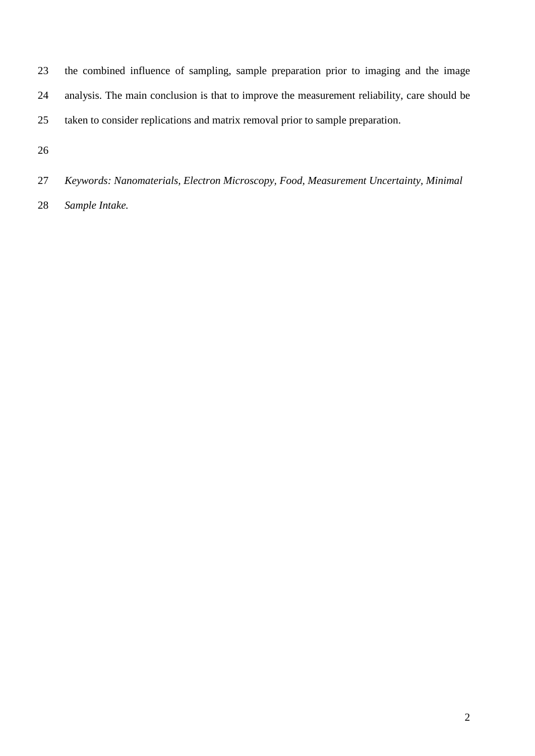- the combined influence of sampling, sample preparation prior to imaging and the image analysis. The main conclusion is that to improve the measurement reliability, care should be taken to consider replications and matrix removal prior to sample preparation.
- 
- *Keywords: Nanomaterials, Electron Microscopy, Food, Measurement Uncertainty, Minimal*
- *Sample Intake.*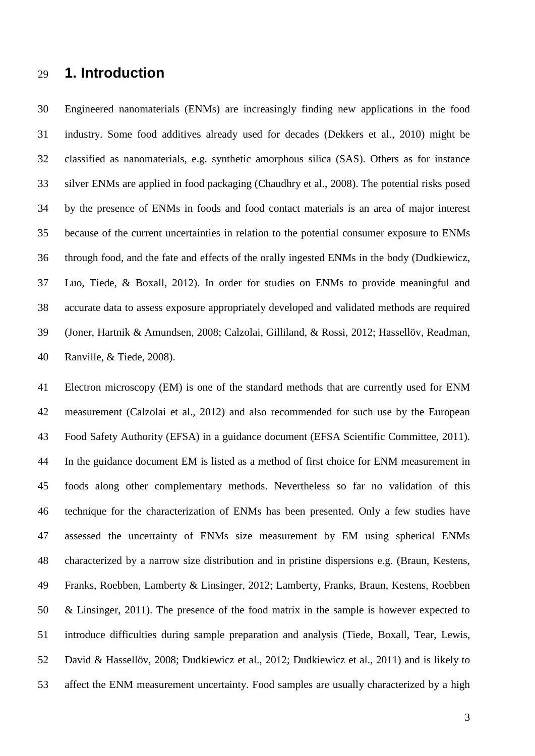# **1. Introduction**

 Engineered nanomaterials (ENMs) are increasingly finding new applications in the food industry. Some food additives already used for decades (Dekkers et al., 2010) might be classified as nanomaterials, e.g. synthetic amorphous silica (SAS). Others as for instance silver ENMs are applied in food packaging (Chaudhry et al., 2008). The potential risks posed by the presence of ENMs in foods and food contact materials is an area of major interest because of the current uncertainties in relation to the potential consumer exposure to ENMs through food, and the fate and effects of the orally ingested ENMs in the body (Dudkiewicz, Luo, Tiede, & Boxall, 2012). In order for studies on ENMs to provide meaningful and accurate data to assess exposure appropriately developed and validated methods are required (Joner, Hartnik & Amundsen, 2008; Calzolai, Gilliland, & Rossi, 2012; Hassellöv, Readman, Ranville, & Tiede, 2008).

 Electron microscopy (EM) is one of the standard methods that are currently used for ENM measurement (Calzolai et al., 2012) and also recommended for such use by the European Food Safety Authority (EFSA) in a guidance document (EFSA Scientific Committee, 2011). In the guidance document EM is listed as a method of first choice for ENM measurement in foods along other complementary methods. Nevertheless so far no validation of this technique for the characterization of ENMs has been presented. Only a few studies have assessed the uncertainty of ENMs size measurement by EM using spherical ENMs characterized by a narrow size distribution and in pristine dispersions e.g. (Braun, Kestens, Franks, Roebben, Lamberty & Linsinger, 2012; Lamberty, Franks, Braun, Kestens, Roebben & Linsinger, 2011). The presence of the food matrix in the sample is however expected to introduce difficulties during sample preparation and analysis (Tiede, Boxall, Tear, Lewis, David & Hassellöv, 2008; Dudkiewicz et al., 2012; Dudkiewicz et al., 2011) and is likely to affect the ENM measurement uncertainty. Food samples are usually characterized by a high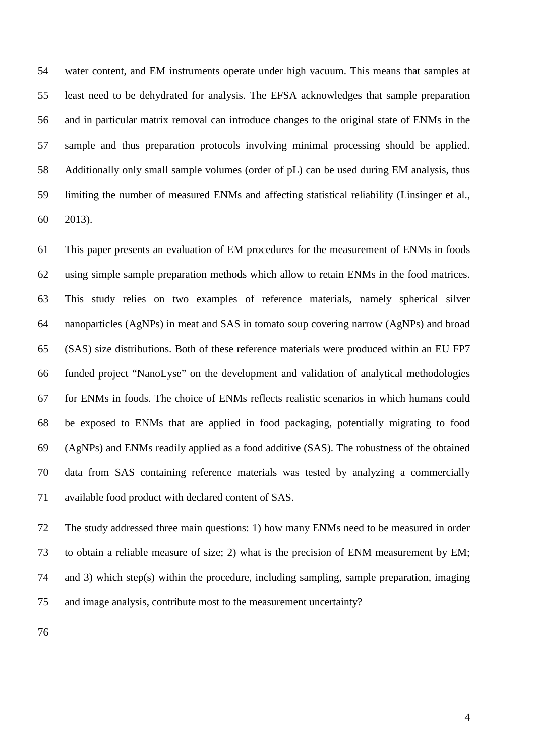water content, and EM instruments operate under high vacuum. This means that samples at least need to be dehydrated for analysis. The EFSA acknowledges that sample preparation and in particular matrix removal can introduce changes to the original state of ENMs in the sample and thus preparation protocols involving minimal processing should be applied. Additionally only small sample volumes (order of pL) can be used during EM analysis, thus limiting the number of measured ENMs and affecting statistical reliability (Linsinger et al., 2013).

 This paper presents an evaluation of EM procedures for the measurement of ENMs in foods using simple sample preparation methods which allow to retain ENMs in the food matrices. This study relies on two examples of reference materials, namely spherical silver nanoparticles (AgNPs) in meat and SAS in tomato soup covering narrow (AgNPs) and broad (SAS) size distributions. Both of these reference materials were produced within an EU FP7 funded project "NanoLyse" on the development and validation of analytical methodologies for ENMs in foods. The choice of ENMs reflects realistic scenarios in which humans could be exposed to ENMs that are applied in food packaging, potentially migrating to food (AgNPs) and ENMs readily applied as a food additive (SAS). The robustness of the obtained data from SAS containing reference materials was tested by analyzing a commercially available food product with declared content of SAS.

 The study addressed three main questions: 1) how many ENMs need to be measured in order to obtain a reliable measure of size; 2) what is the precision of ENM measurement by EM; and 3) which step(s) within the procedure, including sampling, sample preparation, imaging and image analysis, contribute most to the measurement uncertainty?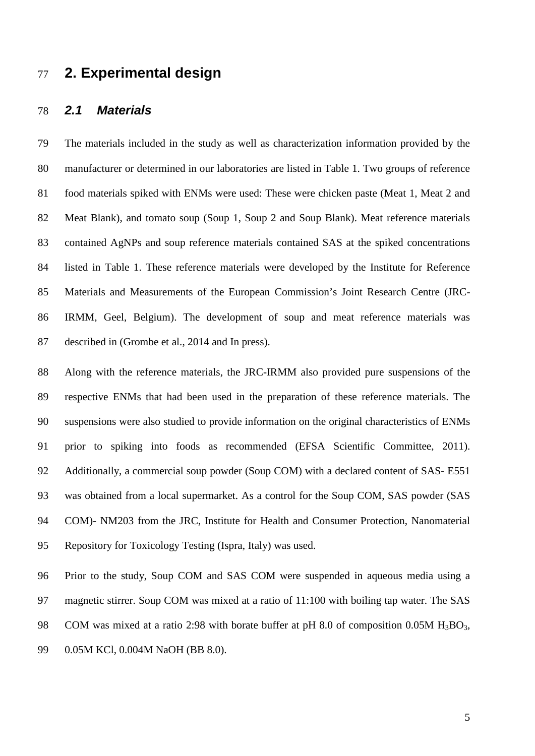# **2. Experimental design**

#### *2.1 Materials*

 The materials included in the study as well as characterization information provided by the manufacturer or determined in our laboratories are listed in Table 1. Two groups of reference food materials spiked with ENMs were used: These were chicken paste (Meat 1, Meat 2 and Meat Blank), and tomato soup (Soup 1, Soup 2 and Soup Blank). Meat reference materials contained AgNPs and soup reference materials contained SAS at the spiked concentrations listed in Table 1. These reference materials were developed by the Institute for Reference Materials and Measurements of the European Commission's Joint Research Centre (JRC- IRMM, Geel, Belgium). The development of soup and meat reference materials was described in (Grombe et al., 2014 and In press).

 Along with the reference materials, the JRC-IRMM also provided pure suspensions of the respective ENMs that had been used in the preparation of these reference materials. The suspensions were also studied to provide information on the original characteristics of ENMs prior to spiking into foods as recommended (EFSA Scientific Committee, 2011). Additionally, a commercial soup powder (Soup COM) with a declared content of SAS- E551 was obtained from a local supermarket. As a control for the Soup COM, SAS powder (SAS COM)- NM203 from the JRC, Institute for Health and Consumer Protection, Nanomaterial Repository for Toxicology Testing (Ispra, Italy) was used.

 Prior to the study, Soup COM and SAS COM were suspended in aqueous media using a magnetic stirrer. Soup COM was mixed at a ratio of 11:100 with boiling tap water. The SAS 98 COM was mixed at a ratio 2:98 with borate buffer at pH 8.0 of composition 0.05M  $H_3BO_3$ , 0.05M KCl, 0.004M NaOH (BB 8.0).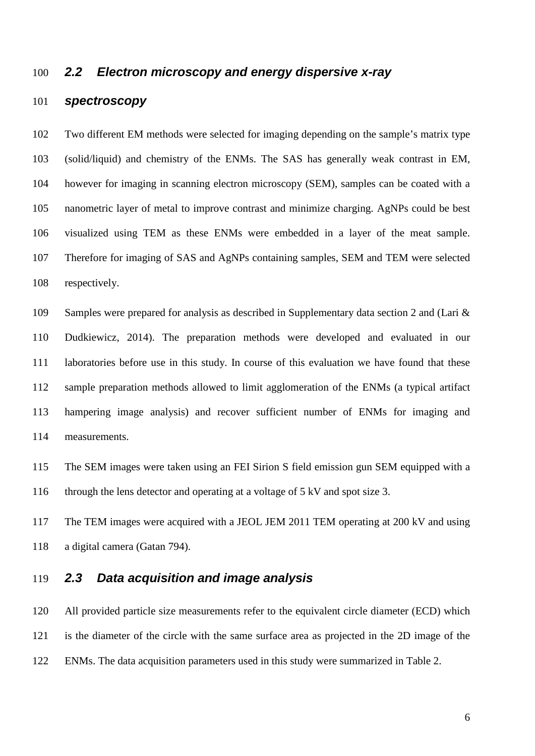#### *2.2 Electron microscopy and energy dispersive x-ray*

#### *spectroscopy*

 Two different EM methods were selected for imaging depending on the sample's matrix type (solid/liquid) and chemistry of the ENMs. The SAS has generally weak contrast in EM, however for imaging in scanning electron microscopy (SEM), samples can be coated with a nanometric layer of metal to improve contrast and minimize charging. AgNPs could be best visualized using TEM as these ENMs were embedded in a layer of the meat sample. Therefore for imaging of SAS and AgNPs containing samples, SEM and TEM were selected respectively.

 Samples were prepared for analysis as described in Supplementary data section 2 and (Lari & Dudkiewicz, 2014). The preparation methods were developed and evaluated in our laboratories before use in this study. In course of this evaluation we have found that these sample preparation methods allowed to limit agglomeration of the ENMs (a typical artifact hampering image analysis) and recover sufficient number of ENMs for imaging and measurements.

 The SEM images were taken using an FEI Sirion S field emission gun SEM equipped with a through the lens detector and operating at a voltage of 5 kV and spot size 3.

 The TEM images were acquired with a JEOL JEM 2011 TEM operating at 200 kV and using a digital camera (Gatan 794).

### *2.3 Data acquisition and image analysis*

 All provided particle size measurements refer to the equivalent circle diameter (ECD) which is the diameter of the circle with the same surface area as projected in the 2D image of the ENMs. The data acquisition parameters used in this study were summarized in Table 2.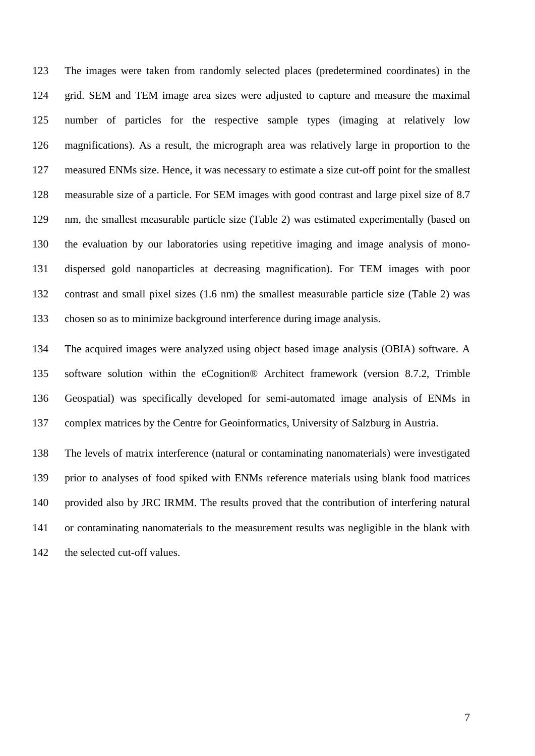The images were taken from randomly selected places (predetermined coordinates) in the grid. SEM and TEM image area sizes were adjusted to capture and measure the maximal number of particles for the respective sample types (imaging at relatively low magnifications). As a result, the micrograph area was relatively large in proportion to the measured ENMs size. Hence, it was necessary to estimate a size cut-off point for the smallest measurable size of a particle. For SEM images with good contrast and large pixel size of 8.7 nm, the smallest measurable particle size (Table 2) was estimated experimentally (based on the evaluation by our laboratories using repetitive imaging and image analysis of mono- dispersed gold nanoparticles at decreasing magnification). For TEM images with poor contrast and small pixel sizes (1.6 nm) the smallest measurable particle size (Table 2) was chosen so as to minimize background interference during image analysis.

 The acquired images were analyzed using object based image analysis (OBIA) software. A software solution within the eCognition® Architect framework (version 8.7.2, Trimble Geospatial) was specifically developed for semi-automated image analysis of ENMs in complex matrices by the Centre for Geoinformatics, University of Salzburg in Austria.

 The levels of matrix interference (natural or contaminating nanomaterials) were investigated prior to analyses of food spiked with ENMs reference materials using blank food matrices provided also by JRC IRMM. The results proved that the contribution of interfering natural or contaminating nanomaterials to the measurement results was negligible in the blank with 142 the selected cut-off values.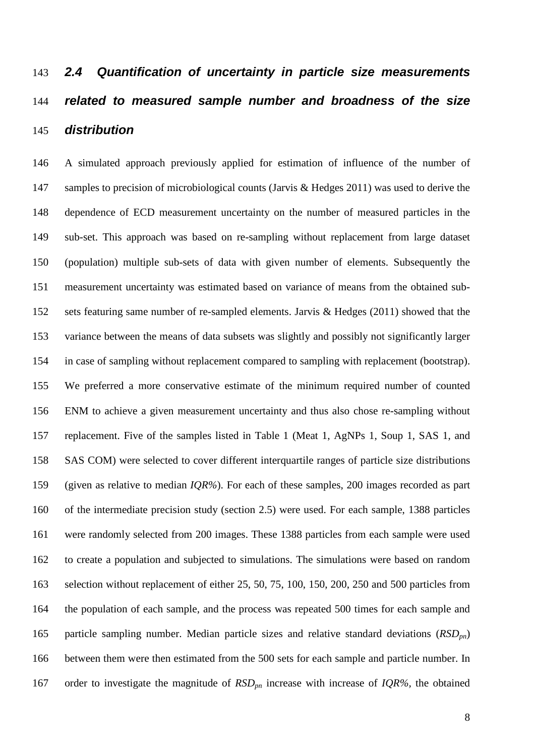# *2.4 Quantification of uncertainty in particle size measurements related to measured sample number and broadness of the size distribution*

 A simulated approach previously applied for estimation of influence of the number of 147 samples to precision of microbiological counts (Jarvis & Hedges 2011) was used to derive the dependence of ECD measurement uncertainty on the number of measured particles in the sub-set. This approach was based on re-sampling without replacement from large dataset (population) multiple sub-sets of data with given number of elements. Subsequently the measurement uncertainty was estimated based on variance of means from the obtained sub- sets featuring same number of re-sampled elements. Jarvis & Hedges (2011) showed that the variance between the means of data subsets was slightly and possibly not significantly larger in case of sampling without replacement compared to sampling with replacement (bootstrap). We preferred a more conservative estimate of the minimum required number of counted ENM to achieve a given measurement uncertainty and thus also chose re-sampling without replacement. Five of the samples listed in Table 1 (Meat 1, AgNPs 1, Soup 1, SAS 1, and SAS COM) were selected to cover different interquartile ranges of particle size distributions (given as relative to median *IQR%*). For each of these samples, 200 images recorded as part of the intermediate precision study (section 2.5) were used. For each sample, 1388 particles were randomly selected from 200 images. These 1388 particles from each sample were used to create a population and subjected to simulations. The simulations were based on random selection without replacement of either 25, 50, 75, 100, 150, 200, 250 and 500 particles from the population of each sample, and the process was repeated 500 times for each sample and 165 particle sampling number. Median particle sizes and relative standard deviations (*RSD<sub>nn</sub>*) between them were then estimated from the 500 sets for each sample and particle number. In 167 order to investigate the magnitude of  $RSD_{pn}$  increase with increase of *IQR%*, the obtained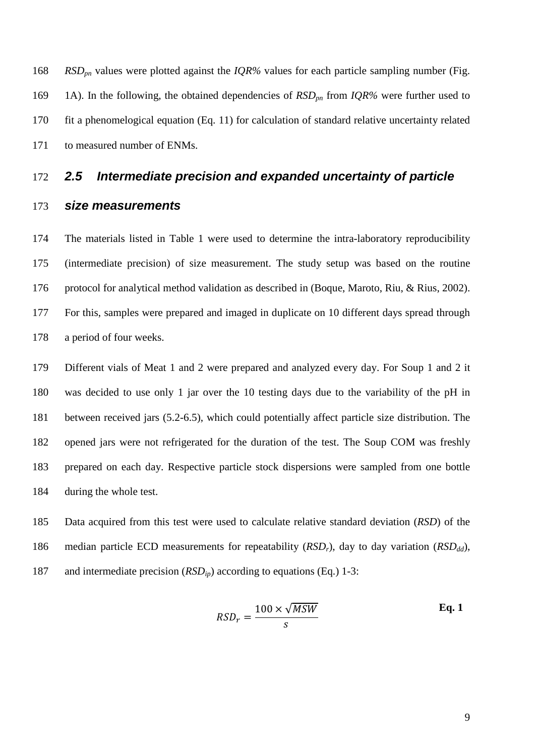*RSDpn* values were plotted against the *IQR%* values for each particle sampling number (Fig. 169 1A). In the following, the obtained dependencies of *RSD<sub>pn</sub>* from *IQR%* were further used to fit a phenomelogical equation (Eq. 11) for calculation of standard relative uncertainty related to measured number of ENMs.

# *2.5 Intermediate precision and expanded uncertainty of particle size measurements*

 The materials listed in Table 1 were used to determine the intra-laboratory reproducibility (intermediate precision) of size measurement. The study setup was based on the routine protocol for analytical method validation as described in (Boque, Maroto, Riu, & Rius, 2002). For this, samples were prepared and imaged in duplicate on 10 different days spread through a period of four weeks.

 Different vials of Meat 1 and 2 were prepared and analyzed every day. For Soup 1 and 2 it was decided to use only 1 jar over the 10 testing days due to the variability of the pH in between received jars (5.2-6.5), which could potentially affect particle size distribution. The opened jars were not refrigerated for the duration of the test. The Soup COM was freshly prepared on each day. Respective particle stock dispersions were sampled from one bottle during the whole test.

 Data acquired from this test were used to calculate relative standard deviation (*RSD*) of the 186 median particle ECD measurements for repeatability (*RSD<sub>r</sub>*), day to day variation (*RSD<sub>dd</sub>*), 187 and intermediate precision (*RSD<sub>ip</sub>*) according to equations (Eq.) 1-3:

$$
RSD_r = \frac{100 \times \sqrt{MSW}}{s}
$$
 Eq. 1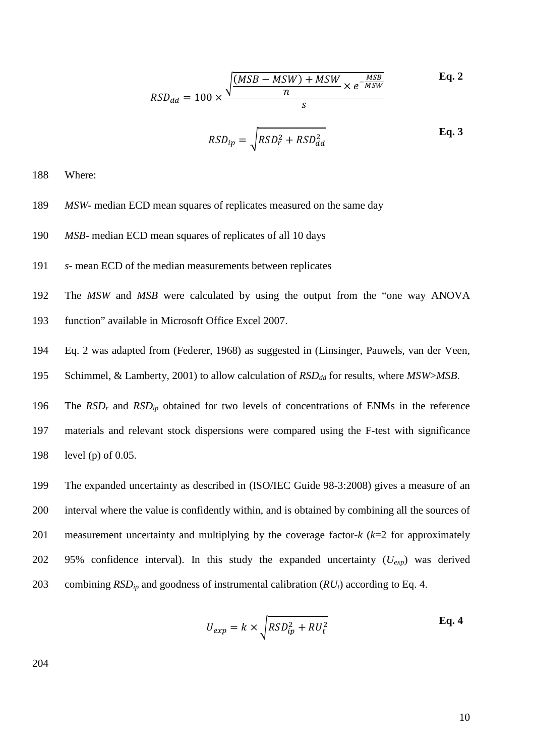$$
RSD_{dd} = 100 \times \frac{\sqrt{\frac{(MSB - MSW) + MSW}{n} \times e^{-\frac{MSB}{MSW}}}}{S}
$$
 Eq. 2  
 
$$
RSD_{ip} = \sqrt{RSD_{r}^{2} + RSD_{dd}^{2}}
$$
 Eq. 3

Where:

- *MSW* median ECD mean squares of replicates measured on the same day
- *MSB* median ECD mean squares of replicates of all 10 days
- *s* mean ECD of the median measurements between replicates
- The *MSW* and *MSB* were calculated by using the output from the "one way ANOVA
- function" available in Microsoft Office Excel 2007.
- Eq. 2 was adapted from (Federer, 1968) as suggested in (Linsinger, Pauwels, van der Veen,
- 195 Schimmel, & Lamberty, 2001) to allow calculation of  $RSD_{dd}$  for results, where  $MSW > MSB$ .
- 196 The *RSD<sub>r</sub>* and *RSD<sub>ip</sub>* obtained for two levels of concentrations of ENMs in the reference materials and relevant stock dispersions were compared using the F-test with significance level (p) of 0.05.
- The expanded uncertainty as described in (ISO/IEC Guide 98-3:2008) gives a measure of an interval where the value is confidently within, and is obtained by combining all the sources of measurement uncertainty and multiplying by the coverage factor-*k* (*k*=2 for approximately 95% confidence interval). In this study the expanded uncertainty (*Uexp*) was derived combining *RSDip* and goodness of instrumental calibration (*RUt*) according to Eq. 4.

$$
U_{exp} = k \times \sqrt{RSD_{ip}^2 + RU_t^2}
$$
 Eq. 4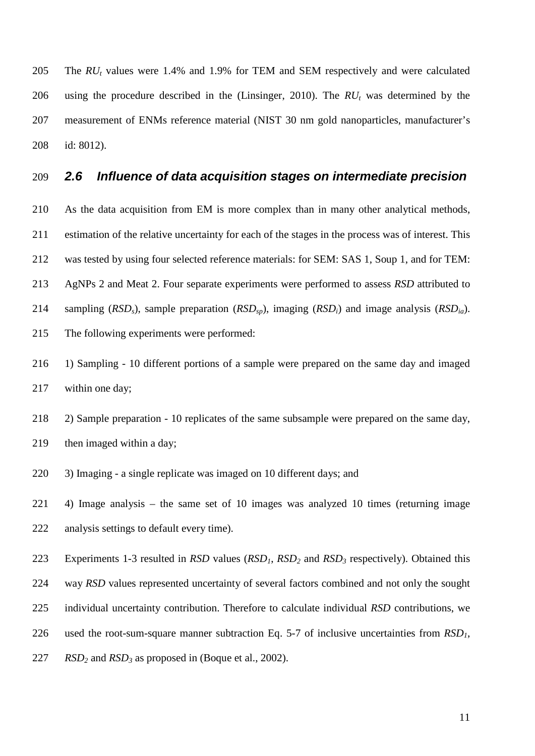The *RUt* values were 1.4% and 1.9% for TEM and SEM respectively and were calculated using the procedure described in the (Linsinger, 2010). The *RUt* was determined by the measurement of ENMs reference material (NIST 30 nm gold nanoparticles, manufacturer's id: 8012).

### *2.6 Influence of data acquisition stages on intermediate precision*

- As the data acquisition from EM is more complex than in many other analytical methods, estimation of the relative uncertainty for each of the stages in the process was of interest. This was tested by using four selected reference materials: for SEM: SAS 1, Soup 1, and for TEM: AgNPs 2 and Meat 2. Four separate experiments were performed to assess *RSD* attributed to sampling (*RSDs*), sample preparation (*RSDsp*), imaging (*RSDi*) and image analysis (*RSDia*). The following experiments were performed:
- 1) Sampling 10 different portions of a sample were prepared on the same day and imaged within one day;
- 2) Sample preparation 10 replicates of the same subsample were prepared on the same day, then imaged within a day;
- 3) Imaging a single replicate was imaged on 10 different days; and

 4) Image analysis – the same set of 10 images was analyzed 10 times (returning image analysis settings to default every time).

- 223 Experiments 1-3 resulted in *RSD* values (*RSD<sub>1</sub>*, *RSD<sub>2</sub>* and *RSD<sub>3</sub>* respectively). Obtained this
- way *RSD* values represented uncertainty of several factors combined and not only the sought
- individual uncertainty contribution. Therefore to calculate individual *RSD* contributions, we
- used the root-sum-square manner subtraction Eq. 5-7 of inclusive uncertainties from *RSD1*,
- *RSD2* and *RSD3* as proposed in (Boque et al., 2002).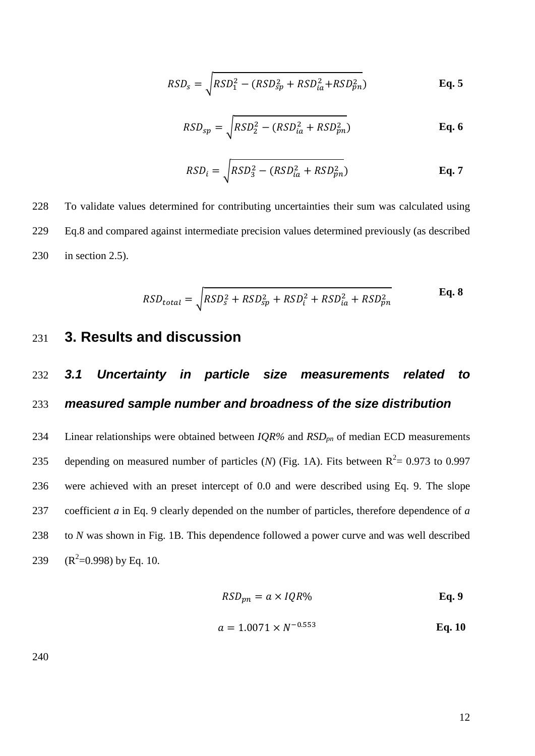$$
RSDs = \sqrt{RSD12 - (RSDsp2 + RSDia2 + RSDpn2)}
$$
 Eq. 5

$$
RSD_{sp} = \sqrt{RSD_2^2 - (RSD_{ia}^2 + RSD_{pn}^2)}
$$
 Eq. 6

$$
RSD_i = \sqrt{RSD_3^2 - (RSD_{ia}^2 + RSD_{pn}^2)}
$$
 Eq. 7

 To validate values determined for contributing uncertainties their sum was calculated using Eq.8 and compared against intermediate precision values determined previously (as described in section 2.5).

$$
RSD_{total} = \sqrt{RSD_s^2 + RSD_{sp}^2 + RSD_i^2 + RSD_{ia}^2 + RSD_{pn}^2}
$$
 Eq. 8

# **3. Results and discussion**

# *3.1 Uncertainty in particle size measurements related to measured sample number and broadness of the size distribution*

234 Linear relationships were obtained between  $IQR%$  and  $RSD<sub>pn</sub>$  of median ECD measurements 235 depending on measured number of particles (*N*) (Fig. 1A). Fits between  $R^2 = 0.973$  to 0.997 were achieved with an preset intercept of 0.0 and were described using Eq. 9. The slope coefficient *a* in Eq. 9 clearly depended on the number of particles, therefore dependence of *a* to *N* was shown in Fig. 1B. This dependence followed a power curve and was well described  $(R^2=0.998)$  by Eq. 10.

$$
RSD_{pn} = a \times IQR\%
$$
 Eq. 9

$$
a = 1.0071 \times N^{-0.553} \qquad \qquad Eq. 10
$$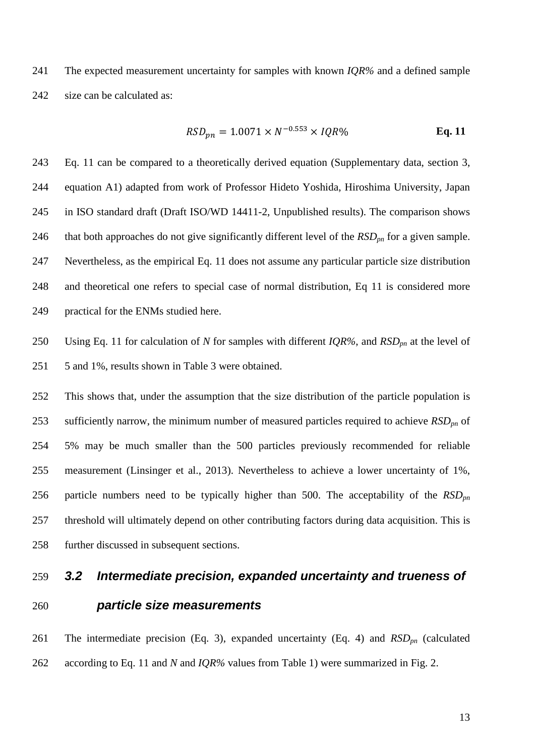The expected measurement uncertainty for samples with known *IQR%* and a defined sample size can be calculated as:

$$
RSD_{pn} = 1.0071 \times N^{-0.553} \times IQR\%
$$
 Eq. 11

 Eq. 11 can be compared to a theoretically derived equation (Supplementary data, section 3, equation A1) adapted from work of Professor Hideto Yoshida, Hiroshima University, Japan in ISO standard draft (Draft ISO/WD 14411-2, Unpublished results). The comparison shows that both approaches do not give significantly different level of the *RSDpn* for a given sample. Nevertheless, as the empirical Eq. 11 does not assume any particular particle size distribution and theoretical one refers to special case of normal distribution, Eq 11 is considered more practical for the ENMs studied here.

250 Using Eq. 11 for calculation of *N* for samples with different *IQR%*, and *RSD<sub>pn</sub>* at the level of 5 and 1%, results shown in Table 3 were obtained.

 This shows that, under the assumption that the size distribution of the particle population is 253 sufficiently narrow, the minimum number of measured particles required to achieve *RSD<sub>pn</sub>* of 5% may be much smaller than the 500 particles previously recommended for reliable measurement (Linsinger et al., 2013). Nevertheless to achieve a lower uncertainty of 1%, particle numbers need to be typically higher than 500. The acceptability of the *RSDpn* threshold will ultimately depend on other contributing factors during data acquisition. This is further discussed in subsequent sections.

#### *3.2 Intermediate precision, expanded uncertainty and trueness of*

#### *particle size measurements*

261 The intermediate precision (Eq. 3), expanded uncertainty (Eq. 4) and *RSD<sub>pn</sub>* (calculated according to Eq. 11 and *N* and *IQR%* values from Table 1) were summarized in Fig. 2.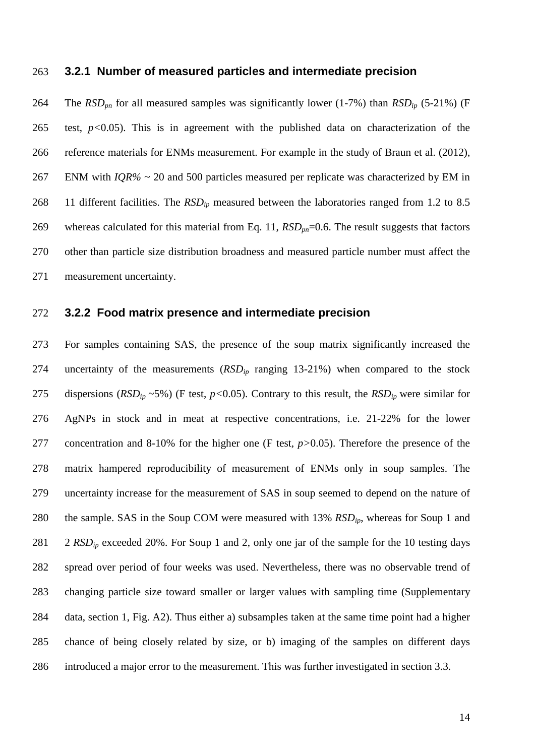#### **3.2.1 Number of measured particles and intermediate precision**

264 The *RSD<sub>pn</sub>* for all measured samples was significantly lower (1-7%) than *RSD<sub>ip</sub>* (5-21%) (F 265 test,  $p < 0.05$ ). This is in agreement with the published data on characterization of the reference materials for ENMs measurement. For example in the study of Braun et al. (2012), ENM with *IQR%* ~ 20 and 500 particles measured per replicate was characterized by EM in 268 11 different facilities. The *RSD<sub>ip</sub>* measured between the laboratories ranged from 1.2 to 8.5 269 whereas calculated for this material from Eq. 11,  $RSD_{pn}=0.6$ . The result suggests that factors other than particle size distribution broadness and measured particle number must affect the measurement uncertainty.

#### **3.2.2 Food matrix presence and intermediate precision**

 For samples containing SAS, the presence of the soup matrix significantly increased the uncertainty of the measurements (*RSDip* ranging 13-21%) when compared to the stock 275 dispersions ( $RSD_{ip} \sim 5\%$ ) (F test,  $p < 0.05$ ). Contrary to this result, the  $RSD_{ip}$  were similar for AgNPs in stock and in meat at respective concentrations, i.e. 21-22% for the lower concentration and 8-10% for the higher one (F test, *p>*0.05). Therefore the presence of the matrix hampered reproducibility of measurement of ENMs only in soup samples. The uncertainty increase for the measurement of SAS in soup seemed to depend on the nature of the sample. SAS in the Soup COM were measured with 13% *RSDip*, whereas for Soup 1 and 2 *RSDip* exceeded 20%. For Soup 1 and 2, only one jar of the sample for the 10 testing days spread over period of four weeks was used. Nevertheless, there was no observable trend of changing particle size toward smaller or larger values with sampling time (Supplementary data, section 1, Fig. A2). Thus either a) subsamples taken at the same time point had a higher chance of being closely related by size, or b) imaging of the samples on different days introduced a major error to the measurement. This was further investigated in section 3.3.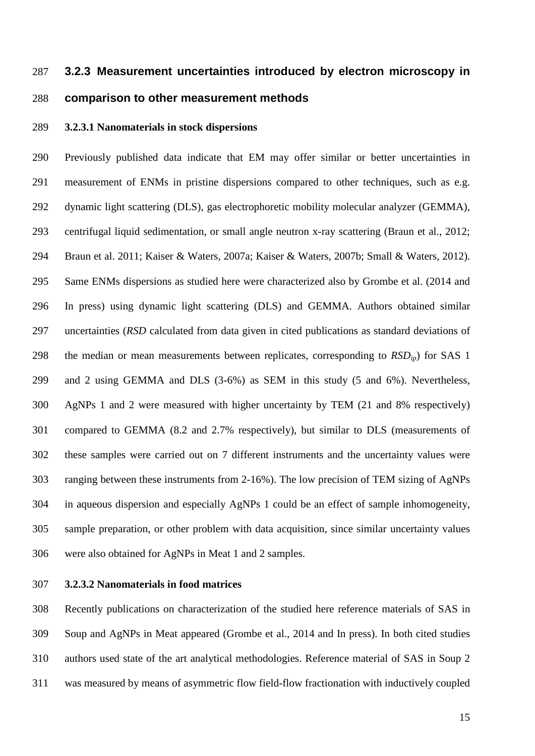# **3.2.3 Measurement uncertainties introduced by electron microscopy in comparison to other measurement methods**

#### **3.2.3.1 Nanomaterials in stock dispersions**

 Previously published data indicate that EM may offer similar or better uncertainties in measurement of ENMs in pristine dispersions compared to other techniques, such as e.g. dynamic light scattering (DLS), gas electrophoretic mobility molecular analyzer (GEMMA), centrifugal liquid sedimentation, or small angle neutron x-ray scattering (Braun et al., 2012; Braun et al. 2011; Kaiser & Waters, 2007a; Kaiser & Waters, 2007b; Small & Waters, 2012). Same ENMs dispersions as studied here were characterized also by Grombe et al. (2014 and In press) using dynamic light scattering (DLS) and GEMMA. Authors obtained similar uncertainties (*RSD* calculated from data given in cited publications as standard deviations of the median or mean measurements between replicates, corresponding to *RSDip*) for SAS 1 and 2 using GEMMA and DLS (3-6%) as SEM in this study (5 and 6%). Nevertheless, AgNPs 1 and 2 were measured with higher uncertainty by TEM (21 and 8% respectively) compared to GEMMA (8.2 and 2.7% respectively), but similar to DLS (measurements of these samples were carried out on 7 different instruments and the uncertainty values were ranging between these instruments from 2-16%). The low precision of TEM sizing of AgNPs in aqueous dispersion and especially AgNPs 1 could be an effect of sample inhomogeneity, sample preparation, or other problem with data acquisition, since similar uncertainty values were also obtained for AgNPs in Meat 1 and 2 samples.

**3.2.3.2 Nanomaterials in food matrices**

 Recently publications on characterization of the studied here reference materials of SAS in Soup and AgNPs in Meat appeared (Grombe et al., 2014 and In press). In both cited studies authors used state of the art analytical methodologies. Reference material of SAS in Soup 2 was measured by means of asymmetric flow field-flow fractionation with inductively coupled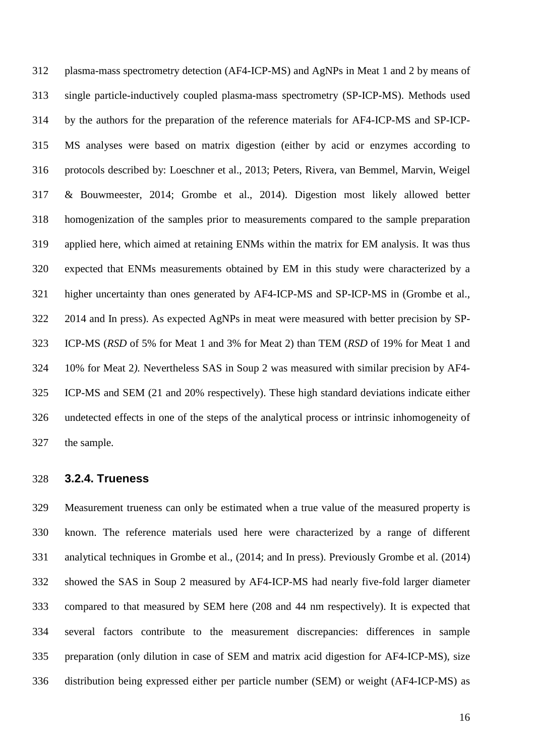plasma-mass spectrometry detection (AF4-ICP-MS) and AgNPs in Meat 1 and 2 by means of single particle-inductively coupled plasma-mass spectrometry (SP-ICP-MS). Methods used by the authors for the preparation of the reference materials for AF4-ICP-MS and SP-ICP- MS analyses were based on matrix digestion (either by acid or enzymes according to protocols described by: Loeschner et al., 2013; Peters, Rivera, van Bemmel, Marvin, Weigel & Bouwmeester, 2014; Grombe et al., 2014). Digestion most likely allowed better homogenization of the samples prior to measurements compared to the sample preparation applied here, which aimed at retaining ENMs within the matrix for EM analysis. It was thus expected that ENMs measurements obtained by EM in this study were characterized by a higher uncertainty than ones generated by AF4-ICP-MS and SP-ICP-MS in (Grombe et al., 2014 and In press). As expected AgNPs in meat were measured with better precision by SP- ICP-MS (*RSD* of 5% for Meat 1 and 3% for Meat 2) than TEM (*RSD* of 19% for Meat 1 and 10% for Meat 2*).* Nevertheless SAS in Soup 2 was measured with similar precision by AF4- ICP-MS and SEM (21 and 20% respectively). These high standard deviations indicate either undetected effects in one of the steps of the analytical process or intrinsic inhomogeneity of the sample.

#### **3.2.4. Trueness**

 Measurement trueness can only be estimated when a true value of the measured property is known. The reference materials used here were characterized by a range of different analytical techniques in Grombe et al., (2014; and In press). Previously Grombe et al. (2014) showed the SAS in Soup 2 measured by AF4-ICP-MS had nearly five-fold larger diameter compared to that measured by SEM here (208 and 44 nm respectively). It is expected that several factors contribute to the measurement discrepancies: differences in sample preparation (only dilution in case of SEM and matrix acid digestion for AF4-ICP-MS), size distribution being expressed either per particle number (SEM) or weight (AF4-ICP-MS) as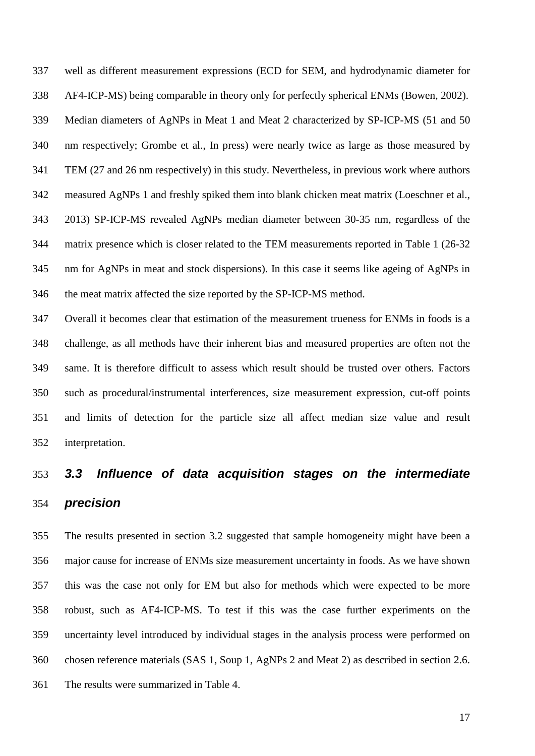well as different measurement expressions (ECD for SEM, and hydrodynamic diameter for AF4-ICP-MS) being comparable in theory only for perfectly spherical ENMs (Bowen, 2002). Median diameters of AgNPs in Meat 1 and Meat 2 characterized by SP-ICP-MS (51 and 50 nm respectively; Grombe et al., In press) were nearly twice as large as those measured by TEM (27 and 26 nm respectively) in this study. Nevertheless, in previous work where authors measured AgNPs 1 and freshly spiked them into blank chicken meat matrix (Loeschner et al., 2013) SP-ICP-MS revealed AgNPs median diameter between 30-35 nm, regardless of the matrix presence which is closer related to the TEM measurements reported in Table 1 (26-32 nm for AgNPs in meat and stock dispersions). In this case it seems like ageing of AgNPs in the meat matrix affected the size reported by the SP-ICP-MS method.

 Overall it becomes clear that estimation of the measurement trueness for ENMs in foods is a challenge, as all methods have their inherent bias and measured properties are often not the same. It is therefore difficult to assess which result should be trusted over others. Factors such as procedural/instrumental interferences, size measurement expression, cut-off points and limits of detection for the particle size all affect median size value and result interpretation.

# *3.3 Influence of data acquisition stages on the intermediate precision*

 The results presented in section 3.2 suggested that sample homogeneity might have been a major cause for increase of ENMs size measurement uncertainty in foods. As we have shown this was the case not only for EM but also for methods which were expected to be more robust, such as AF4-ICP-MS. To test if this was the case further experiments on the uncertainty level introduced by individual stages in the analysis process were performed on chosen reference materials (SAS 1, Soup 1, AgNPs 2 and Meat 2) as described in section 2.6. The results were summarized in Table 4.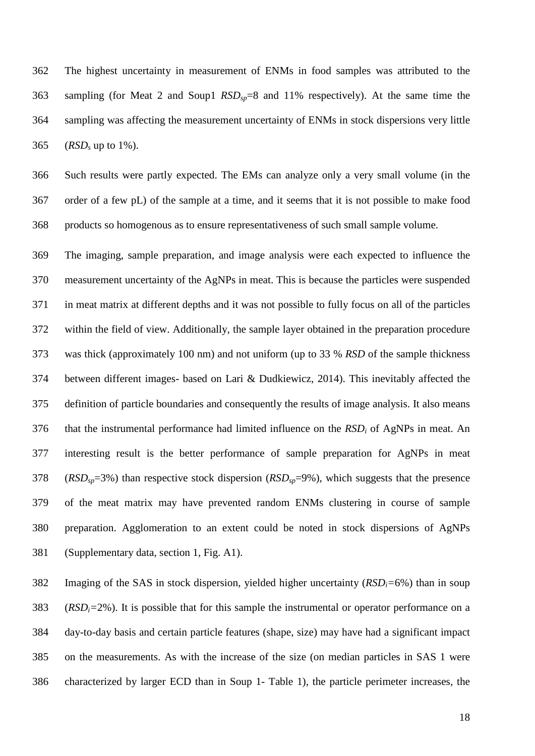The highest uncertainty in measurement of ENMs in food samples was attributed to the sampling (for Meat 2 and Soup1 *RSDsp*=8 and 11% respectively). At the same time the sampling was affecting the measurement uncertainty of ENMs in stock dispersions very little (*RSDs* up to 1%).

 Such results were partly expected. The EMs can analyze only a very small volume (in the order of a few pL) of the sample at a time, and it seems that it is not possible to make food products so homogenous as to ensure representativeness of such small sample volume.

 The imaging, sample preparation, and image analysis were each expected to influence the measurement uncertainty of the AgNPs in meat. This is because the particles were suspended in meat matrix at different depths and it was not possible to fully focus on all of the particles within the field of view. Additionally, the sample layer obtained in the preparation procedure was thick (approximately 100 nm) and not uniform (up to 33 % *RSD* of the sample thickness between different images- based on Lari & Dudkiewicz, 2014). This inevitably affected the definition of particle boundaries and consequently the results of image analysis. It also means that the instrumental performance had limited influence on the *RSDi* of AgNPs in meat. An interesting result is the better performance of sample preparation for AgNPs in meat (*RSDsp*=3%) than respective stock dispersion (*RSDsp*=9%), which suggests that the presence of the meat matrix may have prevented random ENMs clustering in course of sample preparation. Agglomeration to an extent could be noted in stock dispersions of AgNPs (Supplementary data, section 1, Fig. A1).

382 Imaging of the SAS in stock dispersion, yielded higher uncertainty (*RSD<sub>i</sub>*=6%) than in soup (*RSDi=*2%). It is possible that for this sample the instrumental or operator performance on a day-to-day basis and certain particle features (shape, size) may have had a significant impact on the measurements. As with the increase of the size (on median particles in SAS 1 were characterized by larger ECD than in Soup 1- Table 1), the particle perimeter increases, the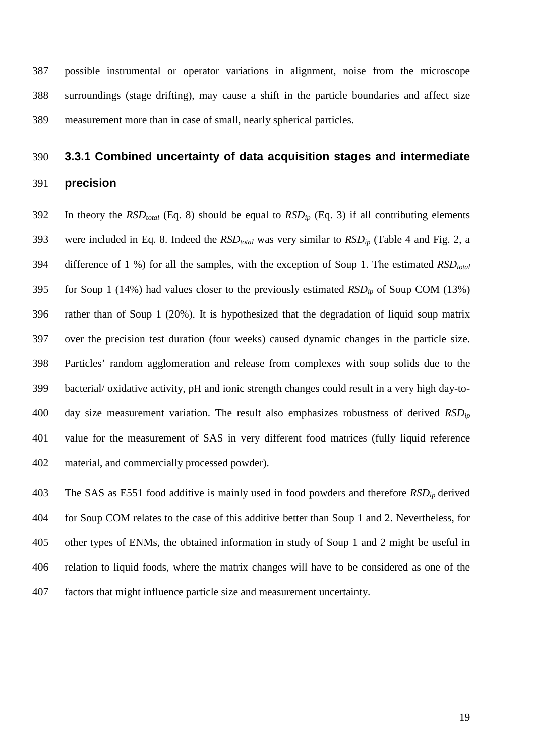possible instrumental or operator variations in alignment, noise from the microscope surroundings (stage drifting), may cause a shift in the particle boundaries and affect size measurement more than in case of small, nearly spherical particles.

# **3.3.1 Combined uncertainty of data acquisition stages and intermediate precision**

392 In theory the  $RSD_{total}$  (Eq. 8) should be equal to  $RSD_{ip}$  (Eq. 3) if all contributing elements 393 were included in Eq. 8. Indeed the *RSD<sub>total</sub>* was very similar to *RSD<sub>ip</sub>* (Table 4 and Fig. 2, a 394 difference of 1 %) for all the samples, with the exception of Soup 1. The estimated *RSD<sub>total</sub>*  for Soup 1 (14%) had values closer to the previously estimated *RSDip* of Soup COM (13%) rather than of Soup 1 (20%). It is hypothesized that the degradation of liquid soup matrix over the precision test duration (four weeks) caused dynamic changes in the particle size. Particles' random agglomeration and release from complexes with soup solids due to the bacterial/ oxidative activity, pH and ionic strength changes could result in a very high day-to- day size measurement variation. The result also emphasizes robustness of derived *RSDip* value for the measurement of SAS in very different food matrices (fully liquid reference material, and commercially processed powder).

 The SAS as E551 food additive is mainly used in food powders and therefore *RSDip* derived for Soup COM relates to the case of this additive better than Soup 1 and 2. Nevertheless, for other types of ENMs, the obtained information in study of Soup 1 and 2 might be useful in relation to liquid foods, where the matrix changes will have to be considered as one of the factors that might influence particle size and measurement uncertainty.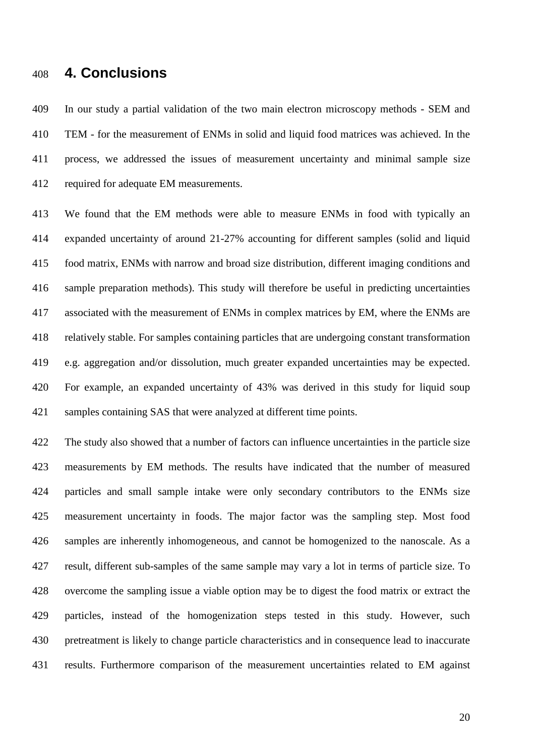### **4. Conclusions**

 In our study a partial validation of the two main electron microscopy methods - SEM and TEM - for the measurement of ENMs in solid and liquid food matrices was achieved. In the process, we addressed the issues of measurement uncertainty and minimal sample size required for adequate EM measurements.

 We found that the EM methods were able to measure ENMs in food with typically an expanded uncertainty of around 21-27% accounting for different samples (solid and liquid food matrix, ENMs with narrow and broad size distribution, different imaging conditions and sample preparation methods). This study will therefore be useful in predicting uncertainties associated with the measurement of ENMs in complex matrices by EM, where the ENMs are relatively stable. For samples containing particles that are undergoing constant transformation e.g. aggregation and/or dissolution, much greater expanded uncertainties may be expected. For example, an expanded uncertainty of 43% was derived in this study for liquid soup samples containing SAS that were analyzed at different time points.

 The study also showed that a number of factors can influence uncertainties in the particle size measurements by EM methods. The results have indicated that the number of measured particles and small sample intake were only secondary contributors to the ENMs size measurement uncertainty in foods. The major factor was the sampling step. Most food samples are inherently inhomogeneous, and cannot be homogenized to the nanoscale. As a result, different sub-samples of the same sample may vary a lot in terms of particle size. To overcome the sampling issue a viable option may be to digest the food matrix or extract the particles, instead of the homogenization steps tested in this study. However, such pretreatment is likely to change particle characteristics and in consequence lead to inaccurate results. Furthermore comparison of the measurement uncertainties related to EM against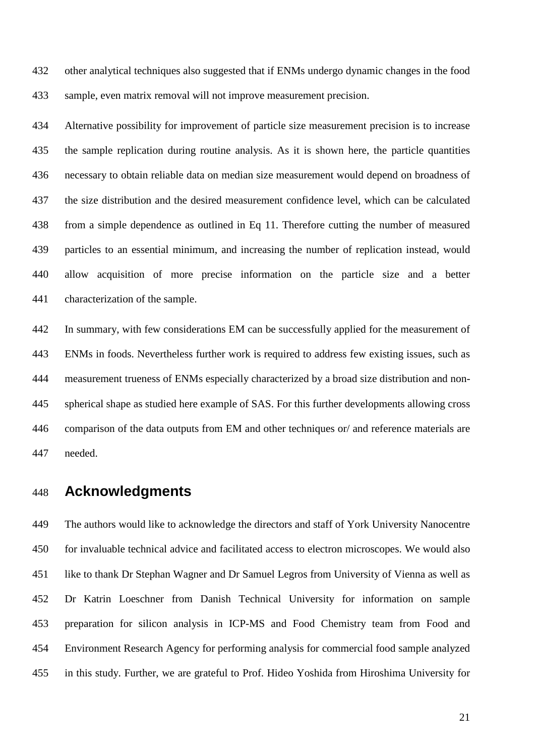other analytical techniques also suggested that if ENMs undergo dynamic changes in the food sample, even matrix removal will not improve measurement precision.

 Alternative possibility for improvement of particle size measurement precision is to increase the sample replication during routine analysis. As it is shown here, the particle quantities necessary to obtain reliable data on median size measurement would depend on broadness of the size distribution and the desired measurement confidence level, which can be calculated from a simple dependence as outlined in Eq 11. Therefore cutting the number of measured particles to an essential minimum, and increasing the number of replication instead, would allow acquisition of more precise information on the particle size and a better characterization of the sample.

 In summary, with few considerations EM can be successfully applied for the measurement of ENMs in foods. Nevertheless further work is required to address few existing issues, such as measurement trueness of ENMs especially characterized by a broad size distribution and non- spherical shape as studied here example of SAS. For this further developments allowing cross comparison of the data outputs from EM and other techniques or/ and reference materials are needed.

# **Acknowledgments**

 The authors would like to acknowledge the directors and staff of York University Nanocentre for invaluable technical advice and facilitated access to electron microscopes. We would also like to thank Dr Stephan Wagner and Dr Samuel Legros from University of Vienna as well as Dr Katrin Loeschner from Danish Technical University for information on sample preparation for silicon analysis in ICP-MS and Food Chemistry team from Food and Environment Research Agency for performing analysis for commercial food sample analyzed in this study. Further, we are grateful to Prof. Hideo Yoshida from Hiroshima University for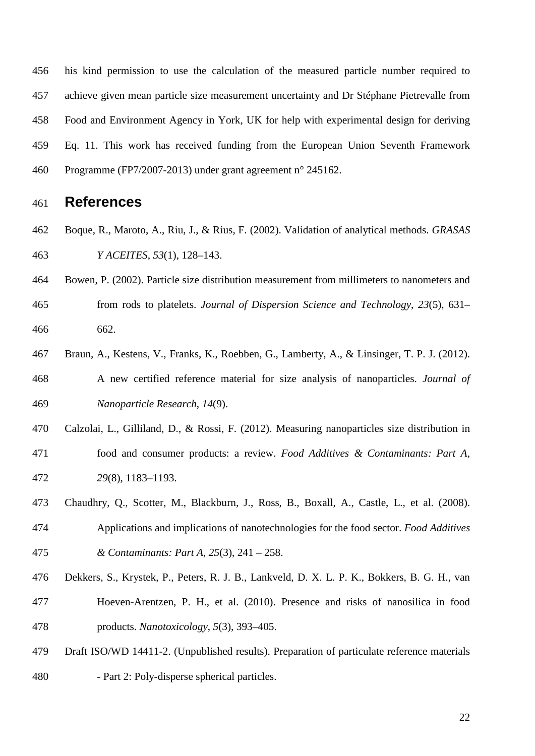his kind permission to use the calculation of the measured particle number required to achieve given mean particle size measurement uncertainty and Dr Stéphane Pietrevalle from Food and Environment Agency in York, UK for help with experimental design for deriving Eq. 11. This work has received funding from the European Union Seventh Framework Programme (FP7/2007-2013) under grant agreement n° 245162.

### **References**

- Boque, R., Maroto, A., Riu, J., & Rius, F. (2002). Validation of analytical methods. *GRASAS Y ACEITES*, *53*(1), 128–143.
- Bowen, P. (2002). Particle size distribution measurement from millimeters to nanometers and
- from rods to platelets. *Journal of Dispersion Science and Technology*, *23*(5), 631– 662.
- Braun, A., Kestens, V., Franks, K., Roebben, G., Lamberty, A., & Linsinger, T. P. J. (2012).
- A new certified reference material for size analysis of nanoparticles. *Journal of Nanoparticle Research*, *14*(9).
- Calzolai, L., Gilliland, D., & Rossi, F. (2012). Measuring nanoparticles size distribution in food and consumer products: a review. *Food Additives & Contaminants: Part A*, *29*(8), 1183–1193.
- Chaudhry, Q., Scotter, M., Blackburn, J., Ross, B., Boxall, A., Castle, L., et al. (2008). Applications and implications of nanotechnologies for the food sector. *Food Additives & Contaminants: Part A*, *25*(3), 241 – 258.
- Dekkers, S., Krystek, P., Peters, R. J. B., Lankveld, D. X. L. P. K., Bokkers, B. G. H., van Hoeven-Arentzen, P. H., et al. (2010). Presence and risks of nanosilica in food
- products. *Nanotoxicology*, *5*(3), 393–405.
- Draft ISO/WD 14411-2. (Unpublished results). Preparation of particulate reference materials - Part 2: Poly-disperse spherical particles.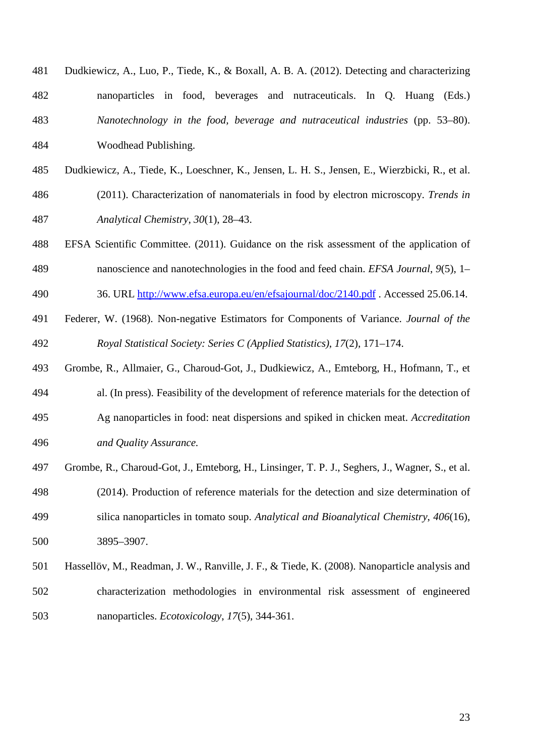| 481 | Dudkiewicz, A., Luo, P., Tiede, K., & Boxall, A. B. A. (2012). Detecting and characterizing     |
|-----|-------------------------------------------------------------------------------------------------|
| 482 | nanoparticles in food, beverages and nutraceuticals. In Q. Huang<br>(Eds.)                      |
| 483 | Nanotechnology in the food, beverage and nutraceutical industries (pp. 53–80).                  |
| 484 | Woodhead Publishing.                                                                            |
| 485 | Dudkiewicz, A., Tiede, K., Loeschner, K., Jensen, L. H. S., Jensen, E., Wierzbicki, R., et al.  |
| 486 | (2011). Characterization of nanomaterials in food by electron microscopy. Trends in             |
| 487 | Analytical Chemistry, 30(1), 28–43.                                                             |
| 488 | EFSA Scientific Committee. (2011). Guidance on the risk assessment of the application of        |
| 489 | nanoscience and nanotechnologies in the food and feed chain. EFSA Journal, 9(5), 1–             |
| 490 | 36. URL http://www.efsa.europa.eu/en/efsajournal/doc/2140.pdf. Accessed 25.06.14.               |
| 491 | Federer, W. (1968). Non-negative Estimators for Components of Variance. Journal of the          |
| 492 | Royal Statistical Society: Series C (Applied Statistics), 17(2), 171–174.                       |
| 493 | Grombe, R., Allmaier, G., Charoud-Got, J., Dudkiewicz, A., Emteborg, H., Hofmann, T., et        |
| 494 | al. (In press). Feasibility of the development of reference materials for the detection of      |
| 495 | Ag nanoparticles in food: neat dispersions and spiked in chicken meat. Accreditation            |
| 496 | and Quality Assurance.                                                                          |
| 497 | Grombe, R., Charoud-Got, J., Emteborg, H., Linsinger, T. P. J., Seghers, J., Wagner, S., et al. |
| 498 | (2014). Production of reference materials for the detection and size determination of           |
| 499 | silica nanoparticles in tomato soup. Analytical and Bioanalytical Chemistry, 406(16),           |
| 500 | 3895-3907.                                                                                      |
| 501 | Hassellöv, M., Readman, J. W., Ranville, J. F., & Tiede, K. (2008). Nanoparticle analysis and   |

 characterization methodologies in environmental risk assessment of engineered nanoparticles. *Ecotoxicology*, *17*(5), 344-361.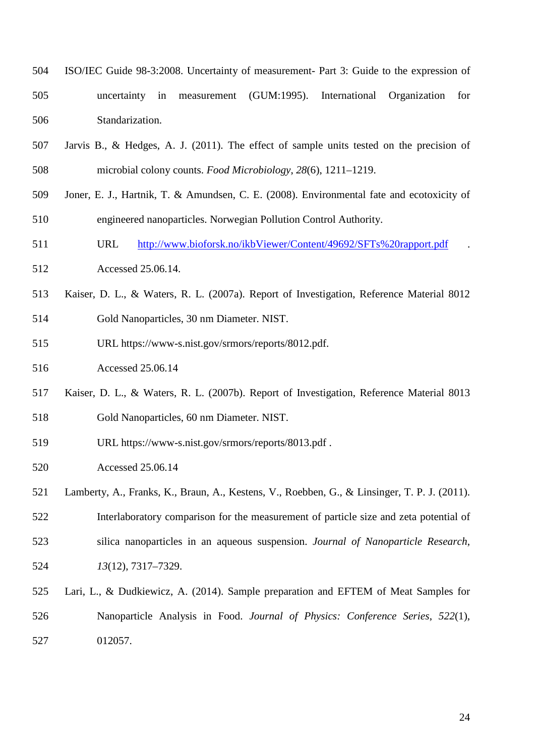- ISO/IEC Guide 98-3:2008. Uncertainty of measurement- Part 3: Guide to the expression of uncertainty in measurement (GUM:1995). International Organization for Standarization.
- Jarvis B., & Hedges, A. J. (2011). The effect of sample units tested on the precision of microbial colony counts. *Food Microbiology*, *28*(6), 1211–1219.
- Joner, E. J., Hartnik, T. & Amundsen, C. E. (2008). Environmental fate and ecotoxicity of engineered nanoparticles. Norwegian Pollution Control Authority.
- URL <http://www.bioforsk.no/ikbViewer/Content/49692/SFTs%20rapport.pdf> . Accessed 25.06.14.
- Kaiser, D. L., & Waters, R. L. (2007a). Report of Investigation, Reference Material 8012 Gold Nanoparticles, 30 nm Diameter. NIST.
- URL https://www-s.nist.gov/srmors/reports/8012.pdf.
- Accessed 25.06.14
- Kaiser, D. L., & Waters, R. L. (2007b). Report of Investigation, Reference Material 8013 Gold Nanoparticles, 60 nm Diameter. NIST.
- URL https://www-s.nist.gov/srmors/reports/8013.pdf .
- Accessed 25.06.14
- Lamberty, A., Franks, K., Braun, A., Kestens, V., Roebben, G., & Linsinger, T. P. J. (2011). Interlaboratory comparison for the measurement of particle size and zeta potential of silica nanoparticles in an aqueous suspension. *Journal of Nanoparticle Research*, *13*(12), 7317–7329.
- Lari, L., & Dudkiewicz, A. (2014). Sample preparation and EFTEM of Meat Samples for Nanoparticle Analysis in Food. *Journal of Physics: Conference Series*, *522*(1), 012057.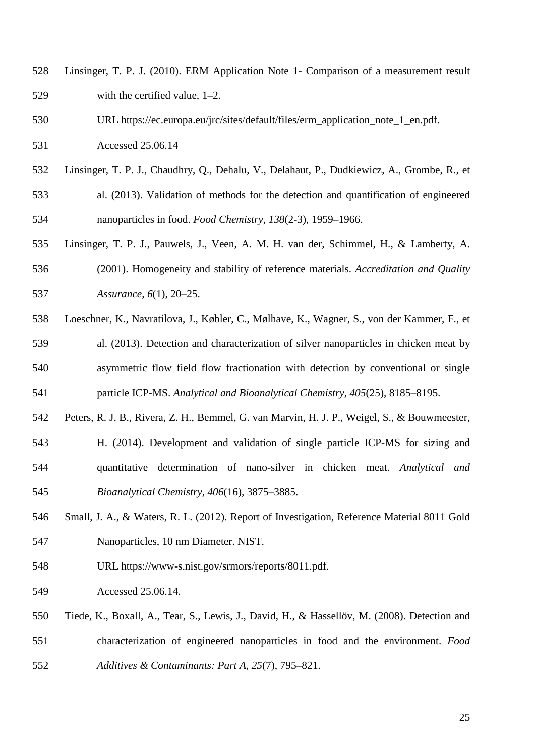- Linsinger, T. P. J. (2010). ERM Application Note 1- Comparison of a measurement result with the certified value, 1–2.
- URL https://ec.europa.eu/jrc/sites/default/files/erm\_application\_note\_1\_en.pdf. Accessed 25.06.14
- Linsinger, T. P. J., Chaudhry, Q., Dehalu, V., Delahaut, P., Dudkiewicz, A., Grombe, R., et al. (2013). Validation of methods for the detection and quantification of engineered nanoparticles in food. *Food Chemistry*, *138*(2-3), 1959–1966.
- Linsinger, T. P. J., Pauwels, J., Veen, A. M. H. van der, Schimmel, H., & Lamberty, A.
- (2001). Homogeneity and stability of reference materials. *Accreditation and Quality Assurance*, *6*(1), 20–25.
- Loeschner, K., Navratilova, J., Købler, C., Mølhave, K., Wagner, S., von der Kammer, F., et al. (2013). Detection and characterization of silver nanoparticles in chicken meat by asymmetric flow field flow fractionation with detection by conventional or single particle ICP-MS. *Analytical and Bioanalytical Chemistry*, *405*(25), 8185–8195.
- Peters, R. J. B., Rivera, Z. H., Bemmel, G. van Marvin, H. J. P., Weigel, S., & Bouwmeester,
- H. (2014). Development and validation of single particle ICP-MS for sizing and quantitative determination of nano-silver in chicken meat. *Analytical and Bioanalytical Chemistry*, *406*(16), 3875–3885.
- Small, J. A., & Waters, R. L. (2012). Report of Investigation, Reference Material 8011 Gold Nanoparticles, 10 nm Diameter. NIST.
- URL https://www-s.nist.gov/srmors/reports/8011.pdf.
- Accessed 25.06.14.
- Tiede, K., Boxall, A., Tear, S., Lewis, J., David, H., & Hassellöv, M. (2008). Detection and characterization of engineered nanoparticles in food and the environment. *Food Additives & Contaminants: Part A*, *25*(7), 795–821.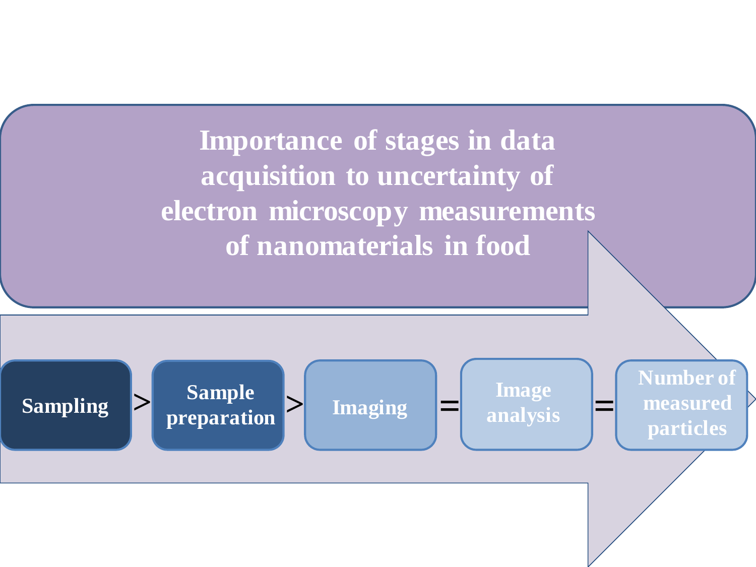**Sampling Sample 1 Imaging Imaging Image Image P analysis Number of measured particles Importance of stages in data acquisition to uncertainty of electron microscopy measurements of nanomaterials in food**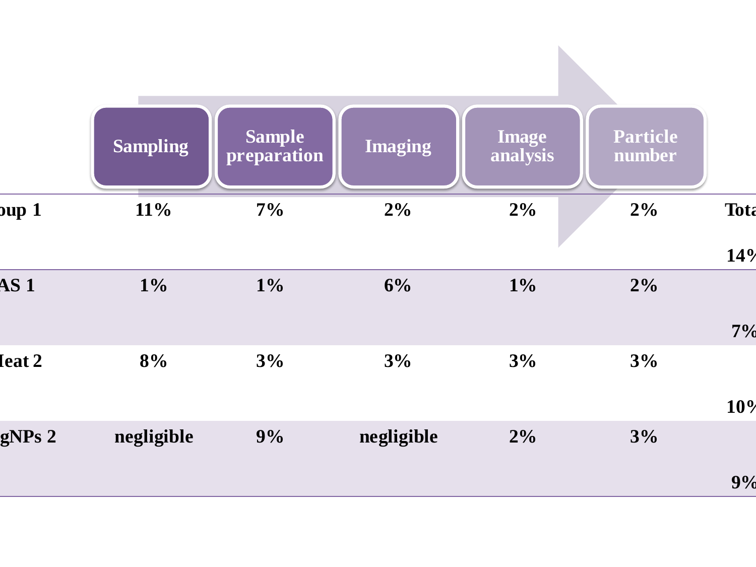|                    | <b>Sampling</b> | <b>Sample</b><br>preparation | <b>Imaging</b> | <b>Image</b><br>analysis | <b>Particle</b><br>number |      |  |
|--------------------|-----------------|------------------------------|----------------|--------------------------|---------------------------|------|--|
| oup <sub>1</sub>   | $11\%$          | $7\%$                        | $2\%$          | $2\%$                    | $2\%$                     | Tota |  |
|                    |                 |                              |                |                          |                           | 14%  |  |
| <b>AS 1</b>        | $1\%$           | $1\%$                        | 6%             | $1\%$                    | $2\%$                     |      |  |
|                    |                 |                              |                |                          |                           | 7%   |  |
| leat 2             | 8%              | 3%                           | 3%             | 3%                       | 3%                        |      |  |
|                    |                 |                              |                |                          |                           | 10%  |  |
| g <sub>SPS</sub> 2 | negligible      | 9%                           | negligible     | 2%                       | 3%                        |      |  |
|                    |                 |                              |                |                          |                           | 9%   |  |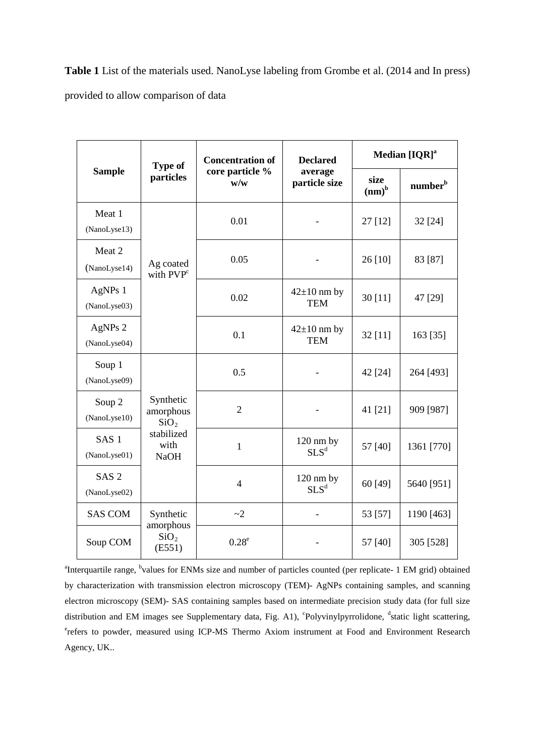**Table 1** List of the materials used. NanoLyse labeling from Grombe et al. (2014 and In press) provided to allow comparison of data

|                                  | <b>Type of</b>                                                                  | <b>Concentration of</b> | <b>Declared</b>                         | Median $[IQR]$ <sup>a</sup> |                     |
|----------------------------------|---------------------------------------------------------------------------------|-------------------------|-----------------------------------------|-----------------------------|---------------------|
| <b>Sample</b>                    | particles                                                                       | core particle %<br>w/w  | average<br>particle size                | size<br>$(nm)^b$            | number <sup>b</sup> |
| Meat 1<br>(NanoLyse13)           |                                                                                 | 0.01                    |                                         | 27 [12]                     | 32 [24]             |
| Meat 2<br>(NanoLyse14)           | Ag coated<br>with $PVPc$                                                        | 0.05                    |                                         | 26 [10]                     | 83 [87]             |
| AgNPs 1<br>(NanoLyse03)          |                                                                                 | 0.02                    | $42\pm10$ nm by<br><b>TEM</b>           | 30 [11]                     | 47 [29]             |
| AgNPs 2<br>(NanoLyse04)          |                                                                                 | 0.1                     | $42\pm10$ nm by<br><b>TEM</b>           | 32 [11]                     | 163 [35]            |
| Soup 1<br>(NanoLyse09)           |                                                                                 | 0.5                     |                                         | 42 [24]                     | 264 [493]           |
| Soup 2<br>(NanoLyse10)           | Synthetic<br>amorphous<br>SiO <sub>2</sub><br>stabilized<br>with<br><b>NaOH</b> | $\overline{2}$          |                                         | 41 [21]                     | 909 [987]           |
| SAS <sub>1</sub><br>(NanoLyse01) |                                                                                 | $\mathbf{1}$            | $120 \text{ nm}$ by<br>SLS <sup>d</sup> | 57 [40]                     | 1361 [770]          |
| SAS <sub>2</sub><br>(NanoLyse02) |                                                                                 | $\overline{4}$          | $120 \text{ nm}$ by<br>SLS <sup>d</sup> | 60 [49]                     | 5640 [951]          |
| <b>SAS COM</b>                   | Synthetic                                                                       | $\sim$ 2                |                                         | 53 [57]                     | 1190 [463]          |
| Soup COM                         | amorphous<br>SiO <sub>2</sub><br>(E551)                                         | $0.28^e$                |                                         | 57 [40]                     | 305 [528]           |

<sup>a</sup>Interquartile range, <sup>b</sup>values for ENMs size and number of particles counted (per replicate- 1 EM grid) obtained by characterization with transmission electron microscopy (TEM)- AgNPs containing samples, and scanning electron microscopy (SEM)- SAS containing samples based on intermediate precision study data (for full size distribution and EM images see Supplementary data, Fig. A1), 'Polyvinylpyrrolidone, <sup>d</sup>static light scattering, erefers to powder, measured using ICP-MS Thermo Axiom instrument at Food and Environment Research Agency, UK..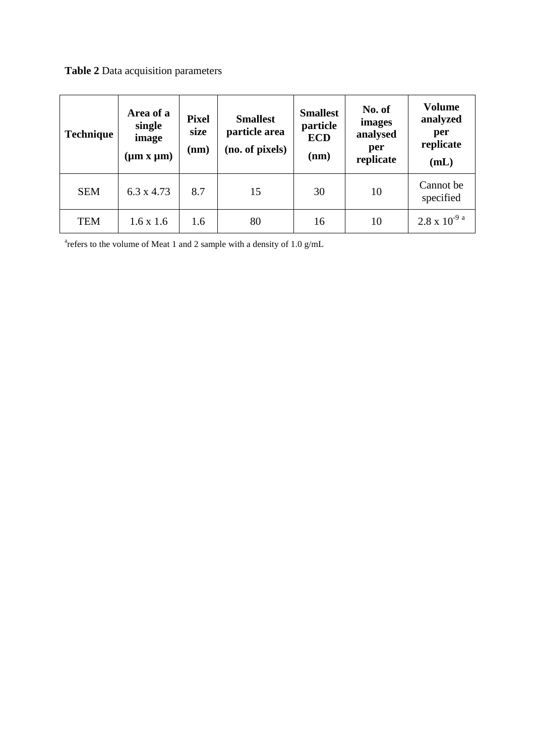**Table 2** Data acquisition parameters

| <b>Technique</b> | Area of a<br>single<br>image<br>$(\mu m \times \mu m)$ | <b>Pixel</b><br>size<br>(nm) | <b>Smallest</b><br>particle area<br>(no. of pixels) | <b>Smallest</b><br>particle<br><b>ECD</b><br>(nm) | No. of<br>images<br>analysed<br>per<br>replicate | <b>Volume</b><br>analyzed<br>per<br>replicate<br>(mL) |
|------------------|--------------------------------------------------------|------------------------------|-----------------------------------------------------|---------------------------------------------------|--------------------------------------------------|-------------------------------------------------------|
| <b>SEM</b>       | $6.3 \times 4.73$                                      | 8.7                          | 15                                                  | 30                                                | 10                                               | Cannot be<br>specified                                |
| <b>TEM</b>       | $1.6 \times 1.6$                                       | 1.6                          | 80                                                  | 16                                                | 10                                               | $2.8 \times 10^{-9}$ <sup>a</sup>                     |

<sup>a</sup>refers to the volume of Meat 1 and 2 sample with a density of 1.0 g/mL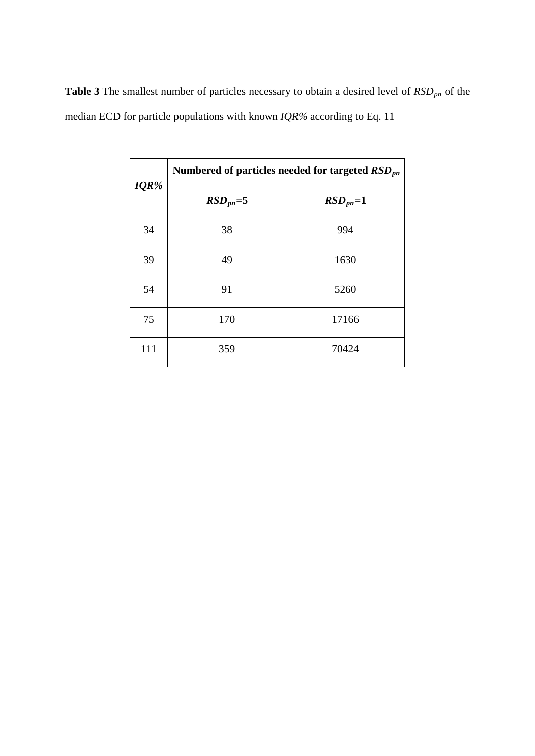**Table 3** The smallest number of particles necessary to obtain a desired level of  $RSD_{pn}$  of the median ECD for particle populations with known *IQR%* according to Eq. 11

| IQR% | Numbered of particles needed for targeted $RSD_{pn}$ |              |  |  |  |  |
|------|------------------------------------------------------|--------------|--|--|--|--|
|      | $RSD_{pn} = 5$                                       | $RSD_{pn}=1$ |  |  |  |  |
| 34   | 38                                                   | 994          |  |  |  |  |
| 39   | 49                                                   | 1630         |  |  |  |  |
| 54   | 91                                                   | 5260         |  |  |  |  |
| 75   | 170                                                  | 17166        |  |  |  |  |
| 111  | 359                                                  | 70424        |  |  |  |  |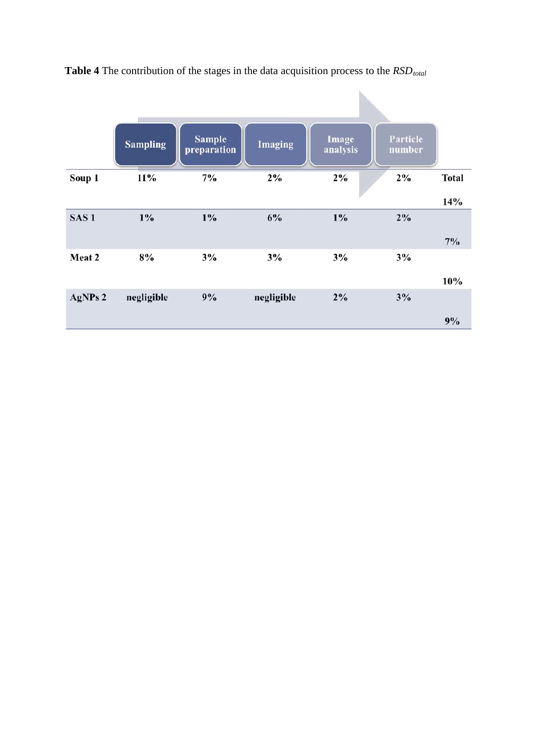

Table 4 The contribution of the stages in the data acquisition process to the *RSD*<sub>total</sub>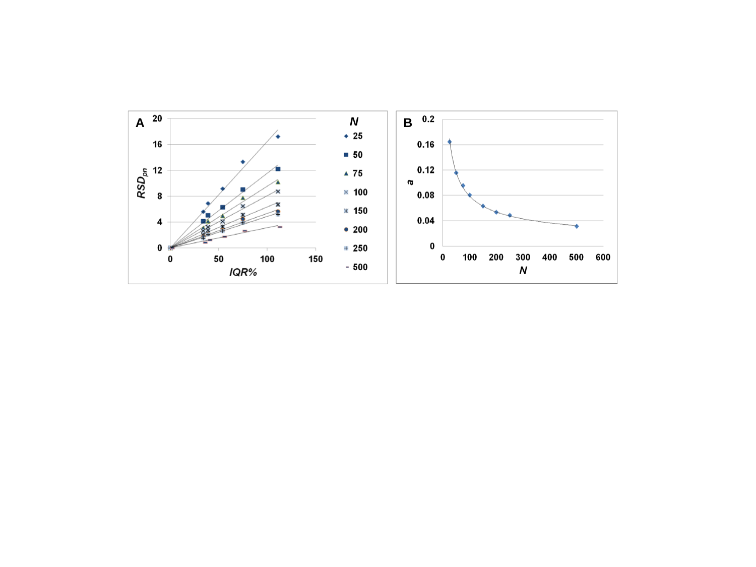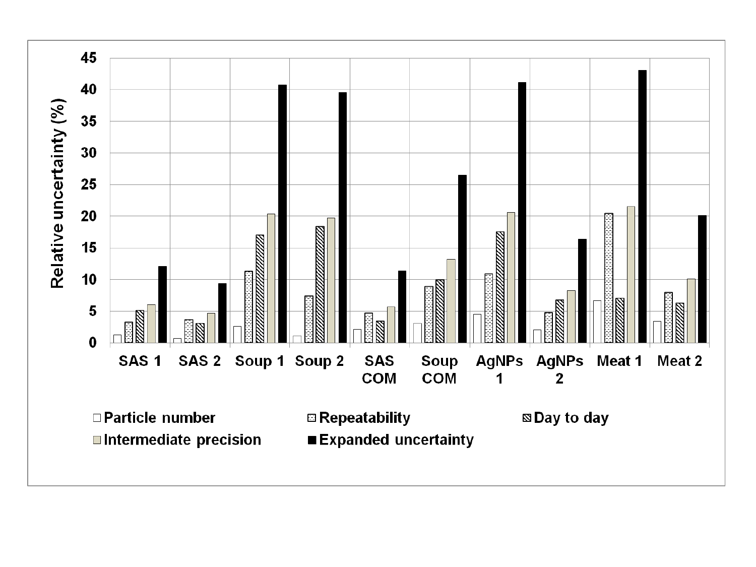